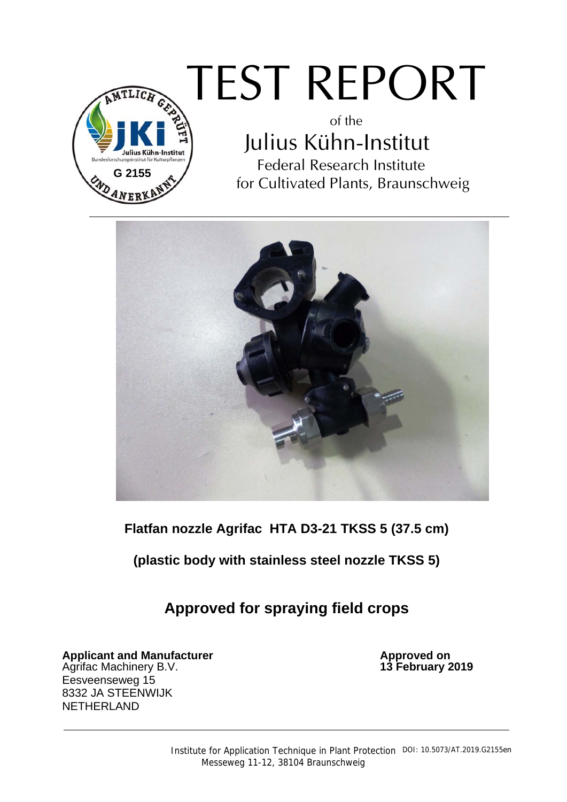

## TEST REPORT

of the Julius Kühn-Institut Federal Research Institute for Cultivated Plants, Braunschweig



**Flatfan nozzle Agrifac HTA D3-21 TKSS 5 (37.5 cm)** 

**(plastic body with stainless steel nozzle TKSS 5)** 

**Approved for spraying field crops** 

**Applicant and Manufacturer and Control on Approved on Approved on Approved on Approved on Approved on Approved on Approved on Approved on Approved on Approved on Approved on Approved on Approved on Approved on Approved on** Agrifac Machinery B.V. Eesveenseweg 15 8332 JA STEENWIJK NETHERLAND